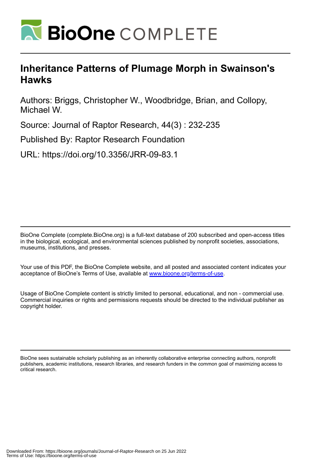

# **Inheritance Patterns of Plumage Morph in Swainson's Hawks**

Authors: Briggs, Christopher W., Woodbridge, Brian, and Collopy, Michael W.

Source: Journal of Raptor Research, 44(3) : 232-235

Published By: Raptor Research Foundation

URL: https://doi.org/10.3356/JRR-09-83.1

BioOne Complete (complete.BioOne.org) is a full-text database of 200 subscribed and open-access titles in the biological, ecological, and environmental sciences published by nonprofit societies, associations, museums, institutions, and presses.

Your use of this PDF, the BioOne Complete website, and all posted and associated content indicates your acceptance of BioOne's Terms of Use, available at www.bioone.org/terms-of-use.

Usage of BioOne Complete content is strictly limited to personal, educational, and non - commercial use. Commercial inquiries or rights and permissions requests should be directed to the individual publisher as copyright holder.

BioOne sees sustainable scholarly publishing as an inherently collaborative enterprise connecting authors, nonprofit publishers, academic institutions, research libraries, and research funders in the common goal of maximizing access to critical research.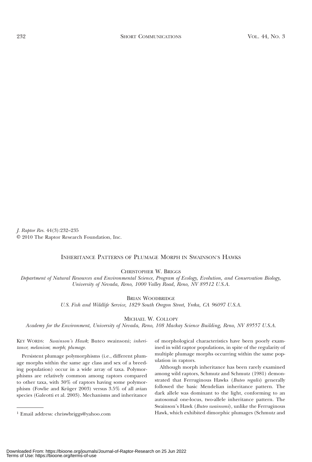J. Raptor Res. 44(3):232–235 © 2010 The Raptor Research Foundation, Inc.

# INHERITANCE PATTERNS OF PLUMAGE MORPH IN SWAINSON'S HAWKS

CHRISTOPHER W. BRIGGS

Department of Natural Resources and Environmental Science, Program of Ecology, Evolution, and Conservation Biology, University of Nevada, Reno, 1000 Valley Road, Reno, NV 89512 U.S.A.

BRIAN WOODBRIDGE

U.S. Fish and Wildlife Service, 1829 South Oregon Street, Yreka, CA 96097 U.S.A.

MICHAEL W. COLLOPY

Academy for the Environment, University of Nevada, Reno, 108 Mackay Science Building, Reno, NV 89557 U.S.A.

KEY WORDS: Swainson's Hawk; Buteo swainsoni; inheritance; melanism; morph; plumage.

Persistent plumage polymorphisms (i.e., different plumage morphs within the same age class and sex of a breeding population) occur in a wide array of taxa. Polymorphisms are relatively common among raptors compared to other taxa, with 30% of raptors having some polymorphism (Fowlie and Krüger 2003) versus 3.5% of all avian species (Galeotti et al. 2003). Mechanisms and inheritance

of morphological characteristics have been poorly examined in wild raptor populations, in spite of the regularity of multiple plumage morphs occurring within the same population in raptors.

Although morph inheritance has been rarely examined among wild raptors, Schmutz and Schmutz (1981) demonstrated that Ferruginous Hawks (Buteo regalis) generally followed the basic Mendelian inheritance pattern. The dark allele was dominant to the light, conforming to an autosomal one-locus, two-allele inheritance pattern. The Swainson's Hawk (Buteo swainsoni), unlike the Ferruginous <sup>1</sup> Email address: chriswbriggs@yahoo.com Hawk, which exhibited dimorphic plumages (Schmutz and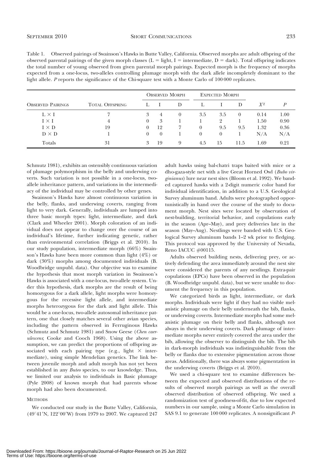| Table 1. Observed pairings of Swainson's Hawks in Butte Valley, California. Observed morphs are adult offspring of the          |
|---------------------------------------------------------------------------------------------------------------------------------|
| observed parental pairings of the given morph classes ( $L =$ light, $I =$ intermediate, $D =$ dark). Total offspring indicates |
| the total number of young observed from given parental morph pairings. Expected morph is the frequency of morphs                |
| expected from a one-locus, two-alleles controlling plumage morph with the dark allele incompletely dominant to the              |
| light allele. P reports the significance of the Chi-square test with a Monte Carlo of 100 000 replicates.                       |

|                          |                        | <b>OBSERVED MORPH</b> |          |          | <b>EXPECTED MORPH</b> |                |          |       |      |
|--------------------------|------------------------|-----------------------|----------|----------|-----------------------|----------------|----------|-------|------|
| <b>OBSERVED PAIRINGS</b> | <b>TOTAL OFFSPRING</b> |                       |          | D        |                       |                | D        | $X^2$ | P    |
| $L \times I$             |                        | 3                     | 4        | $\left($ | 3.5                   | 3.5            | $\theta$ | 0.14  | 1.00 |
| $I \times I$             | 4                      | $\left($              | 3        |          |                       | $\overline{2}$ |          | 1.50  | 0.90 |
| $I \times D$             | 19                     | 0                     | 12       |          | $\Omega$              | 9.5            | 9.5      | 1.32  | 0.36 |
| $D \times D$             |                        | 0                     | $\theta$ |          | $\theta$              | $\theta$       |          | N/A   | N/A  |
| Totals                   | 31                     | 3                     | 19       | 9        | 4.5                   | 15             | 11.5     | 1.69  | 0.21 |

Schmutz 1981), exhibits an ostensibly continuous variation of plumage polymorphism in the belly and underwing coverts. Such variation is not possible in a one-locus, twoallele inheritance pattern, and variations in the intermediacy of the individual may be controlled by other genes.

Swainson's Hawks have almost continuous variation in the belly, flanks, and underwing coverts, ranging from light to very dark. Generally, individuals are lumped into three basic morph types: light, intermediate, and dark (Clark and Wheeler 2001). Morph coloration of an individual does not appear to change over the course of an individual's lifetime, further indicating genetic, rather than environmental correlation (Briggs et al. 2010). In our study population, intermediate morph (66%) Swainson's Hawks have been more common than light (4%) or dark (30%) morphs among documented individuals (B. Woodbridge unpubl. data). Our objective was to examine the hypothesis that most morph variation in Swainson's Hawks is associated with a one-locus, two-allele system. Under this hypothesis, dark morphs are the result of being homozygous for a dark allele, light morphs were homozygous for the recessive light allele, and intermediate morphs heterozygous for the dark and light allele. This would be a one-locus, two-allele autosomal inheritance pattern, one that closely matches several other avian species, including the pattern observed in Ferruginous Hawks (Schmutz and Schmutz 1981) and Snow Geese (Chen caerulescens; Cooke and Cooch 1968). Using the above assumption, we can predict the proportions of offspring associated with each pairing type (e.g., light  $\times$  intermediate), using simple Mendelian genetics. The link between juvenile morph and adult morph has not yet been established in any Buteo species, to our knowledge. Thus, we limited our analysis to individuals in Basic plumage (Pyle 2008) of known morph that had parents whose morph had also been documented.

#### **METHODS**

We conducted our study in the Butte Valley, California,  $(49°41'N, 122°00'W)$  from 1979 to 2007. We captured 247

adult hawks using bal-chatri traps baited with mice or a dho-gaza-style net with a live Great Horned Owl (Bubo virginianus) lure near nest sites (Bloom et al. 1992). We banded captured hawks with a 2-digit numeric color band for individual identification, in addition to a U.S. Geological Survey aluminum band. Adults were photographed opportunistically in hand over the course of the study to document morph. Nest sites were located by observation of nest-building, territorial behavior, and copulations early in the season (Apr–May), and prey deliveries late in the season (May–Aug). Nestlings were banded with U.S. Geological Survey aluminum bands 1–2 wk prior to fledging. This protocol was approved by the University of Nevada, Reno IACUC #00115.

Adults observed building nests, delivering prey, or actively defending the area immediately around the nest site were considered the parents of any nestlings. Extra-pair copulations (EPCs) have been observed in the population (B. Woodbridge unpubl. data), but we were unable to document the frequency in this population.

We categorized birds as light, intermediate, or dark morphs. Individuals were light if they had no visible melanistic plumage on their belly underneath the bib, flanks, or underwing coverts. Intermediate morphs had some melanistic plumage on their belly and flanks, although not always in their underwing coverts. Dark plumage of intermediate morphs never entirely covered the area under the bib, allowing the observer to distinguish the bib. The bib in dark-morph individuals was indistinguishable from the belly or flanks due to extensive pigmentation across those areas. Additionally, there was always some pigmentation in the underwing coverts (Briggs et al. 2010).

We used a chi-square test to examine differences between the expected and observed distributions of the results of observed morph pairings as well as the overall observed distribution of observed offspring. We used a randomization test of goodness-of-fit, due to low expected numbers in our sample, using a Monte Carlo simulation in SAS 9.1 to generate 100 000 replicates. A nonsignificant P-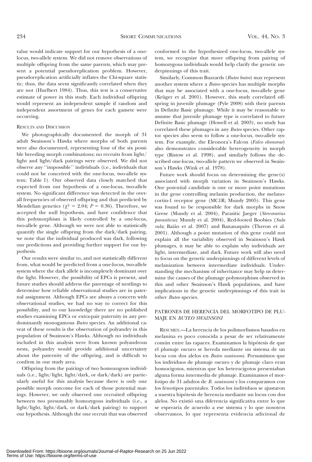value would indicate support for our hypothesis of a onelocus, two-allele system. We did not remove observations of multiple offspring from the same parents, which may present a potential pseudoreplication problem. However, pseudoreplication artificially inflates the Chi-square statistic; thus, the data seem significantly correlated when they are not (Hurlbert 1984). Thus, this test is a conservative estimate of power in this study. Each individual offspring would represent an independent sample if random and independent assortment of genes for each gamete were occurring.

### RESULTS AND DISCUSSION

We photographically documented the morph of 31 adult Swainson's Hawks where morphs of both parents were also documented, representing four of the six possible breeding morph combinations; no recruits from light/ light and light/dark pairings were observed. We did not observe any ''impossible'' individuals (i.e., individuals that could not be conceived with the one-locus, two-allele system; Table 1). Our observed data closely matched that expected from our hypothesis of a one-locus, two-allele system. No significant difference was detected in the overall frequencies of observed offspring and that predicted by Mendelian genetics ( $\chi^2 = 2.04$ ;  $P = 0.36$ ). Therefore, we accepted the null hypothesis, and have confidence that this polymorphism is likely controlled by a one-locus, two-allele gene. Although we were not able to statistically quantify the single offspring from the dark/dark pairing, we note that the individual produced was dark, following our predictions and providing further support for our hypothesis.

Our results were similar to, and not statistically different from, what would be predicted from a one-locus, two-allele system where the dark allele is incompletely dominant over the light. However, the possibility of EPCs is present, and future studies should address the parentage of nestlings to determine how reliable observational studies are in paternal assignment. Although EPCs are always a concern with observational studies, we had no way to correct for this possibility, and to our knowledge there are no published studies examining EPCs or extra-pair paternity in any predominantly monogamous Buteo species. An additional caveat of these results is the observation of polyandry in this population of Swainson's Hawks. Although no individuals included in this analysis were from known polyandrous nests, polyandry would provide additional uncertainty about the paternity of the offspring, and is difficult to confirm in our study area.

Offspring from the pairings of two homozogous individuals (i.e., light/light, light/dark, or dark/dark) are particularly useful for this analysis because there is only one possible morph outcome for each of those potential matings. However, we only observed one recruited offspring between two presumably homozygous individuals (i.e., a light/light, light/dark, or dark/dark pairing) to support our hypothesis. Although the one recruit that was observed conformed to the hypothesized one-locus, two-allele system, we recognize that more offspring from pairing of homozygous individuals would help clarify the genetic underpinnings of this trait.

Similarly, Common Buzzards (Buteo buteo) may represent another system where a Buteo species has multiple morphs that may be associated with a one-locus, two-allele gene (Krüger et al. 2001). However, this study correlated offspring in juvenile plumage (Pyle 2008) with their parents in Definite Basic plumage. While it may be reasonable to assume that juvenile plumage type is correlated to future Definite Basic plumage (Howell et al. 2003), no study has correlated these plumages in any Buteo species. Other raptor species also seem to follow a one-locus, two-allele system. For example, the Eleonora's Falcon (Falco eleonorae) also demonstrates considerable heterogeneity in morph type (Ristow et al. 1998), and similarly follows the described one-locus, two-allele pattern we observed in Swainson's Hawks (Wink et al. 1978).

Future work should focus on determining the gene(s) associated with morph variation in Swainson's Hawks. One potential candidate is one or more point mutations in the gene controlling melanin production, the melanocortin-1 receptor gene (MC1R; Mundy 2005). This gene was found to be responsible for dark morphs in Snow Geese (Mundy et al. 2004), Parasitic Jaeger (Stercorarius parasiticus; Mundy et al. 2004), Red-footed Boobies (Sula sula; Baião et al. 2007) and Bananaquits (Theron et al. 2001). Although a point mutation of this gene could not explain all the variability observed in Swainson's Hawk plumages, it may be able to explain why individuals are light, intermediate, and dark. Future work will also need to focus on the genetic underpinnings of different levels of melanization between intermediate individuals. Understanding the mechanism of inheritance may help us determine the causes of the plumage polymorphism observed in this and other Swainson's Hawk populations, and have implications in the genetic underpinnings of this trait in other Buteo species.

## PATRONES DE HERENCIA DEL MORFOTIPO DE PLU-MAJE EN BUTEO SWAINSONI

RESUMEN.—La herencia de los polimorfismos basados en melanina es poco conocida a pesar de ser relativamente común entre las rapaces. Examinamos la hipótesis de que el plumaje oscuro se hereda mediante un sistema de un locus con dos alelos en Buteo swainsoni. Presumimos que los individuos de plumaje oscuro y de plumaje claro eran homocigotos, mientras que los heterocigotos presentaban alguna forma intermedia de plumaje. Examinamos el morfotipo de 31 adultos de B. swainsoni y los comparamos con los fenotipos parentales. Todos los individuos se ajustaron a nuestra hipo´tesis de herencia mediante un locus con dos alelos. No existió una diferencia significativa entre lo que se esperaría de acuerdo a ese sistema y lo que nosotros observamos, lo que representa evidencia adicional de